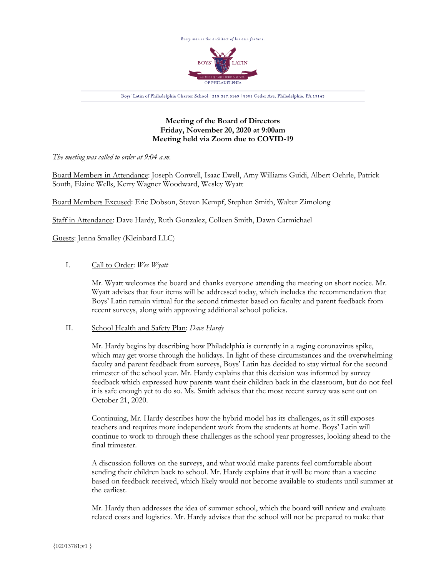

## **Meeting of the Board of Directors Friday, November 20, 2020 at 9:00am Meeting held via Zoom due to COVID-19**

*The meeting was called to order at 9:04 a.m.*

Board Members in Attendance: Joseph Conwell, Isaac Ewell, Amy Williams Guidi, Albert Oehrle, Patrick South, Elaine Wells, Kerry Wagner Woodward, Wesley Wyatt

Board Members Excused: Eric Dobson, Steven Kempf, Stephen Smith, Walter Zimolong

Staff in Attendance: Dave Hardy, Ruth Gonzalez, Colleen Smith, Dawn Carmichael

Guests: Jenna Smalley (Kleinbard LLC)

# I. Call to Order: *Wes Wyatt*

Mr. Wyatt welcomes the board and thanks everyone attending the meeting on short notice. Mr. Wyatt advises that four items will be addressed today, which includes the recommendation that Boys' Latin remain virtual for the second trimester based on faculty and parent feedback from recent surveys, along with approving additional school policies.

### II. School Health and Safety Plan: *Dave Hardy*

Mr. Hardy begins by describing how Philadelphia is currently in a raging coronavirus spike, which may get worse through the holidays. In light of these circumstances and the overwhelming faculty and parent feedback from surveys, Boys' Latin has decided to stay virtual for the second trimester of the school year. Mr. Hardy explains that this decision was informed by survey feedback which expressed how parents want their children back in the classroom, but do not feel it is safe enough yet to do so. Ms. Smith advises that the most recent survey was sent out on October 21, 2020.

Continuing, Mr. Hardy describes how the hybrid model has its challenges, as it still exposes teachers and requires more independent work from the students at home. Boys' Latin will continue to work to through these challenges as the school year progresses, looking ahead to the final trimester.

A discussion follows on the surveys, and what would make parents feel comfortable about sending their children back to school. Mr. Hardy explains that it will be more than a vaccine based on feedback received, which likely would not become available to students until summer at the earliest.

Mr. Hardy then addresses the idea of summer school, which the board will review and evaluate related costs and logistics. Mr. Hardy advises that the school will not be prepared to make that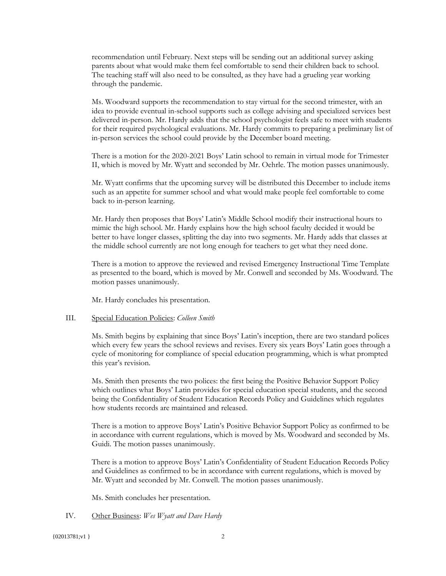recommendation until February. Next steps will be sending out an additional survey asking parents about what would make them feel comfortable to send their children back to school. The teaching staff will also need to be consulted, as they have had a grueling year working through the pandemic.

Ms. Woodward supports the recommendation to stay virtual for the second trimester, with an idea to provide eventual in-school supports such as college advising and specialized services best delivered in-person. Mr. Hardy adds that the school psychologist feels safe to meet with students for their required psychological evaluations. Mr. Hardy commits to preparing a preliminary list of in-person services the school could provide by the December board meeting.

There is a motion for the 2020-2021 Boys' Latin school to remain in virtual mode for Trimester II, which is moved by Mr. Wyatt and seconded by Mr. Oehrle. The motion passes unanimously.

Mr. Wyatt confirms that the upcoming survey will be distributed this December to include items such as an appetite for summer school and what would make people feel comfortable to come back to in-person learning.

Mr. Hardy then proposes that Boys' Latin's Middle School modify their instructional hours to mimic the high school. Mr. Hardy explains how the high school faculty decided it would be better to have longer classes, splitting the day into two segments. Mr. Hardy adds that classes at the middle school currently are not long enough for teachers to get what they need done.

There is a motion to approve the reviewed and revised Emergency Instructional Time Template as presented to the board, which is moved by Mr. Conwell and seconded by Ms. Woodward. The motion passes unanimously.

Mr. Hardy concludes his presentation.

#### III. Special Education Policies: *Colleen Smith*

Ms. Smith begins by explaining that since Boys' Latin's inception, there are two standard polices which every few years the school reviews and revises. Every six years Boys' Latin goes through a cycle of monitoring for compliance of special education programming, which is what prompted this year's revision.

Ms. Smith then presents the two polices: the first being the Positive Behavior Support Policy which outlines what Boys' Latin provides for special education special students, and the second being the Confidentiality of Student Education Records Policy and Guidelines which regulates how students records are maintained and released.

There is a motion to approve Boys' Latin's Positive Behavior Support Policy as confirmed to be in accordance with current regulations, which is moved by Ms. Woodward and seconded by Ms. Guidi. The motion passes unanimously.

There is a motion to approve Boys' Latin's Confidentiality of Student Education Records Policy and Guidelines as confirmed to be in accordance with current regulations, which is moved by Mr. Wyatt and seconded by Mr. Conwell. The motion passes unanimously.

Ms. Smith concludes her presentation.

#### IV. Other Business: *Wes Wyatt and Dave Hardy*